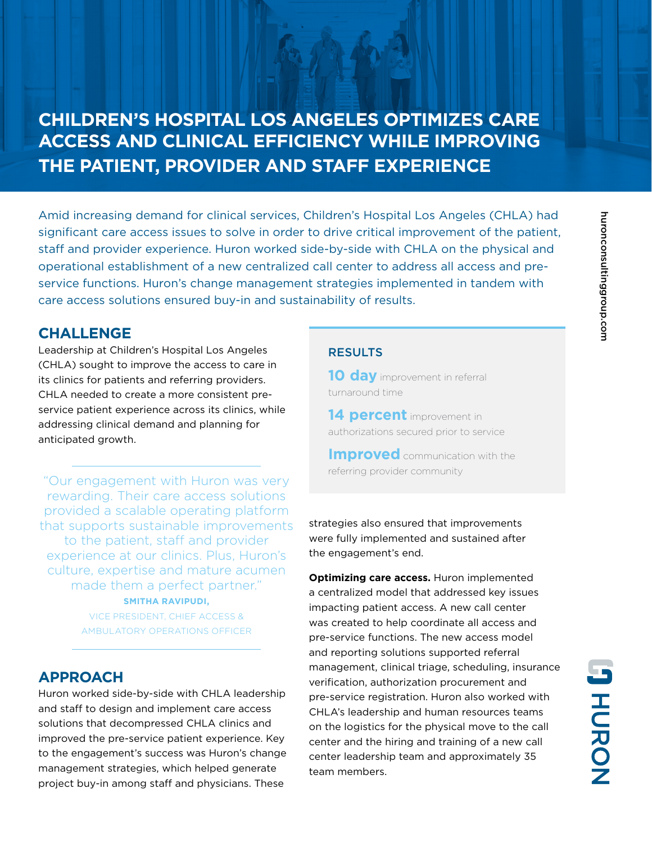# **CHILDREN'S HOSPITAL LOS ANGELES OPTIMIZES CARE ACCESS AND CLINICAL EFFICIENCY WHILE IMPROVING THE PATIENT, PROVIDER AND STAFF EXPERIENCE**

Amid increasing demand for clinical services, Children's Hospital Los Angeles (CHLA) had significant care access issues to solve in order to drive critical improvement of the patient, staff and provider experience. Huron worked side-by-side with CHLA on the physical and operational establishment of a new centralized call center to address all access and preservice functions. Huron's change management strategies implemented in tandem with care access solutions ensured buy-in and sustainability of results.

#### **CHALLENGE**

Leadership at Children's Hospital Los Angeles (CHLA) sought to improve the access to care in its clinics for patients and referring providers. CHLA needed to create a more consistent preservice patient experience across its clinics, while addressing clinical demand and planning for anticipated growth.

"Our engagement with Huron was very rewarding. Their care access solutions provided a scalable operating platform that supports sustainable improvements to the patient, staff and provider experience at our clinics. Plus, Huron's culture, expertise and mature acumen made them a perfect partner." **SMITHA RAVIPUDI,**

> VICE PRESIDENT, CHIEF ACCESS & AMBULATORY OPERATIONS OFFICER

### **APPROACH**

Huron worked side-by-side with CHLA leadership and staff to design and implement care access solutions that decompressed CHLA clinics and improved the pre-service patient experience. Key to the engagement's success was Huron's change management strategies, which helped generate project buy-in among staff and physicians. These

#### **RESULTS**

**10 day** improvement in referral turnaround time

**14 percent** improvement in authorizations secured prior to service

**Improved** communication with the referring provider community

strategies also ensured that improvements were fully implemented and sustained after the engagement's end.

**Optimizing care access.** Huron implemented a centralized model that addressed key issues impacting patient access. A new call center was created to help coordinate all access and pre-service functions. The new access model and reporting solutions supported referral management, clinical triage, scheduling, insurance verification, authorization procurement and pre-service registration. Huron also worked with CHLA's leadership and human resources teams on the logistics for the physical move to the call center and the hiring and training of a new call center leadership team and approximately 35 team members.

**JHCRON**